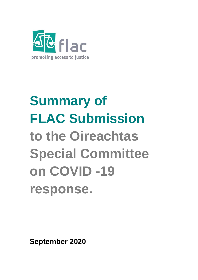

# **Summary of FLAC Submission to the Oireachtas Special Committee on COVID -19 response.**

**September 2020**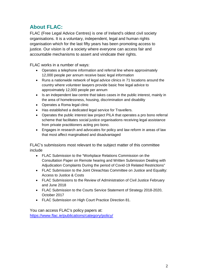## **About FLAC:**

FLAC (Free Legal Advice Centres) is one of Ireland's oldest civil society organisations. It is a voluntary, independent, legal and human rights organisation which for the last fifty years has been promoting access to justice. Our vision is of a society where everyone can access fair and accountable mechanisms to assert and vindicate their rights.

FLAC works in a number of ways:

- Operates a telephone information and referral line where approximately 12,000 people per annum receive basic legal information
- Runs a nationwide network of legal advice clinics in 71 locations around the country where volunteer lawyers provide basic free legal advice to approximately 12,000 people per annum
- Is an independent law centre that takes cases in the public interest, mainly in the area of homelessness, housing, discrimination and disability
- Operates a Roma legal clinic
- Has established a dedicated legal service for Travellers.
- Operates the public interest law project PILA that operates a pro bono referral scheme that facilitates social justice organisations receiving legal assistance from private practitioners acting pro bono.
- Engages in research and advocates for policy and law reform in areas of law that most affect marginalised and disadvantaged

FLAC's submissions most relevant to the subject matter of this committee include

- FLAC Submission to the "Workplace Relations Commission on the Consultation Paper on Remote hearing and Written Submission Dealing with Adjudication Complaints During the period of Covid-19 Related Restrictions"
- FLAC Submission to the Joint Oireachtas Committee on Justice and Equality: Access to Justice & Costs
- FLAC Submissions to the Review of Administration of Civil Justice February and June 2018
- FLAC Submission to the Courts Service Statement of Strategy 2018-2020, October 2017
- FLAC Submission on High Court Practice Direction 81.

You can access FLAC's policy papers at: <https://www.flac.ie/publications/category/policy/>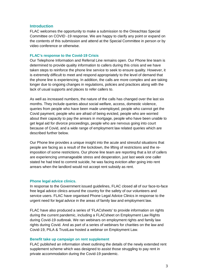#### **Introduction**

FLAC welcomes the opportunity to make a submission to the Oireachtas Special Committee on COVID -19 response. We are happy to clarify any point or expand on the contents of this submission and attend at the Special Committee in person or by video conference or otherwise.

#### **FLAC's response to the Covid-19 Crisis**

Our Telephone Information and Referral Line remains open. Our Phone line team is determined to provide quality information to callers during this crisis and we have taken steps to reinforce the phone line service to seek to ensure quality. However, it is extremely difficult to meet and respond appropriately to the level of demand that the phone line is experiencing. In addition, the calls are more complex and are taking longer due to ongoing changes in regulations, policies and practices along with the lack of usual supports and places to refer callers to.

As well as increased numbers, the nature of the calls has changed over the last six months. They include queries about social welfare, access, domestic violence, queries from people who have been made unemployed, people who cannot get the Covid payment, people who are afraid of being evicted, people who are worried about their capacity to pay the arrears in mortgage, people who have been unable to get legal aid for divorce proceedings, people who are nervous going into court because of Covid, and a wide range of employment law related queries which are described further below.

Our Phone line provides a unique insight into the acute and stressful situations that people are facing as a result of the lockdown, the lifting of restrictions and the reimposition of some restrictions. Our phone line team are reporting that a lot of callers are experiencing unmanageable stress and desperation, just last week one caller stated he had tried to commit suicide, he was facing eviction after going into rent arrears when the landlord would not accept rent subsidy as rent.

#### **Phone legal advice clinics.**

In response to the Government issued guidelines, FLAC closed all of our face-to-face free legal advice clinics around the country for the safety of our volunteers and service users. FLAC have organised Phone Legal Advice Clinics in response to the urgent need for legal advice in the areas of family law and employment law.

FLAC have also produced a series of 'FLACsheets' to provide information on rights during the current pandemic, including a FLACsheet on Employment Law Rights during Covid-19 outbreak. We ran webinars on employment rights and family law rights during Covid. And as part of a series of webinars for charities on the law and Covid-19, PILA & TrustLaw hosted a webinar on Employment Law.

#### **Benefit take up campaign on rent supplement**

FLAC published an information sheet outlining the details of the newly extended rent supplement scheme which was designed to assist those struggling to pay rent in private accommodation during the Covid-19 pandemic.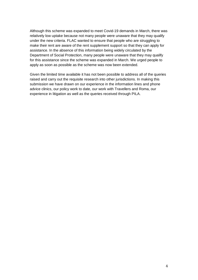Although this scheme was expanded to meet Covid-19 demands in March, there was relatively low uptake because not many people were unaware that they may qualify under the new criteria. FLAC wanted to ensure that people who are struggling to make their rent are aware of the rent supplement support so that they can apply for assistance. In the absence of this information being widely circulated by the Department of Social Protection, many people were unaware that they may qualify for this assistance since the scheme was expanded in March. We urged people to apply as soon as possible as the scheme was now been extended.

Given the limited time available it has not been possible to address all of the queries raised and carry out the requisite research into other jurisdictions. In making this submission we have drawn on our experience in the information lines and phone advice clinics, our policy work to date, our work with Travellers and Roma, our experience in litigation as well as the queries received through PILA.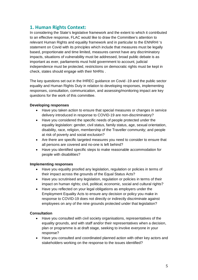## **1. Human Rights Context:**

In considering the State's legislative framework and the extent to which it contributed to an effective response, FLAC would like to draw the Committee's attention to relevant Human Rights and equality framework and in particular to the ENNRHI 's statement on Covid with its principles which include that measures must be legally based, proportionate and time limited, measures cannot have any discriminatory impacts, situations of vulnerability must be addressed, broad public debate is as important as ever, parliaments must hold government to account, judicial independence must be protected, restrictions on democratic rights must be kept in check, states should engage with their NHRIs .

The key questions set out in the IHREC guidance on Covid -19 and the public sector equality and Human Rights Duty in relation to developing responses, implementing responses, consultation, communication, and assessing/monitoring impact are key questions for the work of this committee.

#### **Developing responses**

- Have you taken action to ensure that special measures or changes in service delivery introduced in response to COVID-19 are non-discriminatory?
- Have you considered the specific needs of people protected under the equality legislation: gender, civil status, family status, age, sexual orientation, disability, race, religion, membership of the Traveller community; and people at risk of poverty and social exclusion?
- Are there are specific targeted measures you need to consider to ensure that all persons are covered and no-one is left behind?
- Have you identified specific steps to make reasonable accommodation for people with disabilities?

#### **Implementing responses**

- Have you equality proofed any legislation, regulation or policies in terms of their impact across the grounds of the Equal Status Acts?
- Have you scrutinised any legislation, regulation or policies in terms of their impact on human rights; civil, political, economic, social and cultural rights?
- Have you reflected on your legal obligations as employers under the Employment Equality Acts to ensure any decision or policy you make in response to COVID-19 does not directly or indirectly discriminate against employees on any of the nine grounds protected under that legislation?

#### **Consultation**

- Have you consulted with civil society organisations, representatives of the equality grounds, and with staff and/or their representatives when a decision, plan or programme is at draft stage, seeking to involve everyone in your response?
- Have you consulted and coordinated planned action with other key actors and stakeholders working on the response to the issues identified?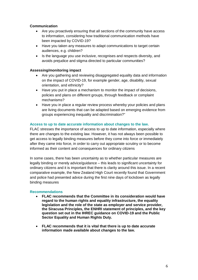#### **Communication**

- Are you proactively ensuring that all sections of the community have access to information, considering how traditional communication methods have been impacted by COVID-19?
- Have you taken any measures to adapt communications to target certain audiences, e.g. children?
- Is the language you use inclusive, recognises and respects diversity, and avoids prejudice and stigma directed to particular communities?

#### **Assessing/monitoring impact**

- Are you gathering and reviewing disaggregated equality data and information on the impact of COVID-19, for example gender, age, disability, sexual orientation, and ethnicity?
- Have you put in place a mechanism to monitor the impact of decisions, policies and plans on different groups, through feedback or complaint mechanisms?
- Have you in place a regular review process whereby your policies and plans are living documents that can be adapted based on emerging evidence from groups experiencing inequality and discrimination?"

#### **Access to up to date accurate information about changes to the law.**

FLAC stresses the importance of access to up to date information, especially where there are changes to the existing law. However, it has not always been possible to get access to legally binding measures before they come into force or immediately after they came into force, in order to carry out appropriate scrutiny or to become informed as their content and consequences for ordinary citizens

In some cases, there has been uncertainty as to whether particular measures are legally binding or merely advice/guidance – this leads to significant uncertainty for ordinary citizens and it is important that there is clarity around this issue. In a recent comparative example, the New Zealand High Court recently found that Government and police had presented advice during the first nine days of lockdown as legally binding measures

#### **Recommendations**

- **FLAC recommends that the Committee in its consideration would have regard to the human rights and equality infrastructure, the equality legislation and the role of the state as employer and service provider, the Siracusa Principles, the ENHRI statement of principles, and the key question set out in the IHREC guidance on COVID-19 and the Public Sector Equality and Human Rights Duty.**
- **FLAC recommends that it is vital that there is up to date accurate information made available about changes to the law.**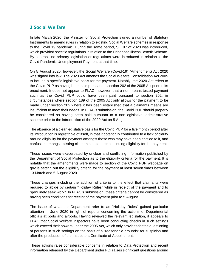## **2 Social Welfare**

In late March 2020, the Minister for Social Protection signed a number of Statutory Instruments to amend rules in relation to existing Social Welfare schemes in response to the Covid 19 pandemic. During the same period, S.I. 97 of 2020 was introduced, which provided specific regulations in relation to the Enhanced Illness Benefit Scheme. By contrast, no primary legislation or regulations were introduced in relation to the Covid Pandemic Unemployment Payment at that time.

On 5 August 2020, however, the Social Welfare (Covid-19) (Amendment) Act 2020 was signed into law. The 2020 Act amends the Social Welfare Consolidation Act 2005 to include a specific legislative basis for the payment. Notably, the 2020 Act refers to the Covid-PUP as having been paid pursuant to section 202 of the 2005 Act prior to its enactment. It does not appear to FLAC, however, that a non-means-tested payment such as the Covid PUP could have been paid pursuant to section 202, in circumstances where section 189 of the 2005 Act only allows for the payment to be made under section 202 where it has been established that a claimants means are insufficient to meet their needs. In FLAC's submission, the Covid PUP should properly be considered as having been paid pursuant to a non-legislative, administrative scheme prior to the introduction of the 2020 Act on 5 August.

The absence of a clear legislative basis for the Covid PUP for a five month period after its introduction is regrettable of itself, in that it potentially contributed to a lack of clarity around eligibility for the payment amongst those who may have been entitled to it, and confusion amongst existing claimants as to their continuing eligibility for the payment.

These issues were exacerbated by unclear and conflicting information published by the Department of Social Protection as to the eligibility criteria for the payment. It is notable that the amendments were made to section of the Covid PUP webpage on gov.ie setting out the eligibility criteria for the payment at least seven times between 13 March and 5 August 2020.

These changes including the addition of criteria to the effect that claimants were required to abide by certain "Holiday Rules" while in receipt of the payment and to "genuinely seek work". In FLAC's submission, these criteria cannot be considered as having been conditions for receipt of the payment prior to 5 August.

The issue of what the Department refer to as "Holiday Rules" gained particular attention in June 2020 in light of reports concerning the actions of Departmental officials at ports and airports. Having reviewed the relevant legislation, it appears to FLAC that Social Welfare Inspectors have been conducting checks in such settings which exceed their powers under the 2005 Act, which only provides for the questioning of persons in such settings on the basis of a "reasonable grounds" for suspicion and after the production of the Inspectors Certificate of Appointment.

These actions raise considerable concerns in relation to Data Protection and recent information released by the Department under FOI raises significant questions around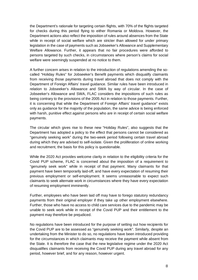the Department's rationale for targeting certain flights, with 70% of the flights targeted for checks during this period flying to either Romania or Moldova. However, the Department actions also reflect the imposition of rules around absences from the State while in receipt of social welfare which are stricter than allowed for under primary legislation in the case of payments such as Jobseeker's Allowance and Supplementary Welfare Allowance. Further, it appears that no fair procedures were afforded to persons targeted by such checks, in circumstances where person's claims for social welfare were seemingly suspended at no notice to them.

A further concern arises in relation to the introduction of regulations amending the socalled "Holiday Rules" for Jobseeker's Benefit payments which disqualify claimants from receiving those payments during travel abroad that does not comply with the Department of Foreign Affairs' travel guidance. Similar rules have been introduced in relation to Jobseeker's Allowance and SWA by way of circular. In the case of Jobseeker's Allowance and SWA, FLAC considers the impositions of such rules as being contrary to the provisions of the 2005 Act in relation to those payments. Further, it is concerning that while the Department of Foreign Affairs' travel guidance" exists only as guidance for the majority of the population, the same advice is being enforced with harsh, punitive effect against persons who are in receipt of certain social welfare payments.

The circular which gives rise to these new "Holiday Rules", also suggests that the Department has adopted a policy to the effect that persons cannot be considered as "genuinely seeking work" during the two-week period following certain travel abroad during which they are advised to self-isolate. Given the proliferation of online working and recruitment, the basis for this policy is questionable.

While the 2020 Act provides welcome clarity in relation to the eligibility criteria for the Covid PUP scheme, FLAC is concerned about the imposition of a requirement to "genuinely seek work" while in receipt of that payment. Many claimants for that payment have been temporarily laid-off, and have every expectation of resuming their previous employment or self-employment. It seems unreasonable to expect such claimants to seek alternate work in circumstances where they have every expectation of resuming employment imminently.

Further, employees who have been laid off may have to forego statutory redundancy payments from their original employer if they take up other employment elsewhere. Further, those who have no access to child care services due to the pandemic may be unable to seek work while in receipt of the Covid PUP and their entitlement to the payment may therefore be prejudiced.

No regulations have been introduced for the purpose of setting out how recipients for the Covid PUP are to be assessed as "genuinely seeking work". Similarly, despite an undertaking from the Minister to do so, no regulations have been introduced providing for the circumstances in which claimants may receive the payment while absent from the State. It is therefore the case that the new legislative regime under the 2020 Act disqualifies claimants from receiving the Covid PUP during any travel abroad for any period, however brief, and for any reason, however urgent.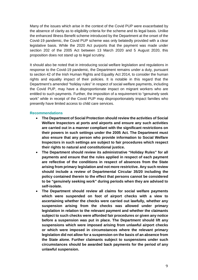Many of the issues which arise in the context of the Covid PUP were exacerbated by the absence of clarity as to eligibility criteria for the scheme and its legal basis. Unlike the enhanced Illness Benefit scheme introduced by the Department at the onset of the Covid-19 pandemic, the Covid PUP scheme was only belatedly provided with a clear legislative basis. While the 2020 Act purports that the payment was made under section 202 of the 2005 Act between 13 March 2020 and 5 August 2020, this proposition does not stand up to legal scrutiny.

It should also be noted that in introducing social welfare legislation and regulations in response to the Covid-19 pandemic, the Department remains under a duty, pursuant to section 42 of the Irish Human Rights and Equality Act 2014, to consider the human rights and equality impact of their policies. It is notable in this regard that the Department's amended "holiday rules" in respect of social welfare payments, including the Covid PUP, may have a disproportionate impact on migrant workers who are entitled to such payments. Further, the imposition of a requirement to "genuinely seek work" while in receipt of the Covid PUP may disproportionately impact families who presently have limited access to child care services.

#### **Recommendations**

- **The Department of Social Protection should review the activities of Social Welfare Inspectors at ports and airports and ensure any such activities are carried out in a manner compliant with the significant restrictions on their powers in such settings under the 2005 Act. The Department must also ensure that any person who provide information to Social Welfare Inspectors in such settings are subject to fair procedures which respect their rights to natural and constitutional justice.**
- **The Department should review its administrative "Holiday Rules" for all payments and ensure that the rules applied in respect of each payment are reflective of the conditions in respect of absences from the State arising from primary legislation and not more restrictive. Any such review should include a review of Departmental Circular 35/20 including the policy contained therein to the effect that persons cannot be considered to be "genuinely seeking work" during periods when they are advised to self-isolate.**
- **The Department should review all claims for social welfare payments which were suspended on foot of airport checks with a view to ascertaining whether the checks were carried out lawfully, whether any suspension arising from the checks was allowed under primary legislation in relation to the relevant payment and whether the claimants subject to such checks were afforded fair procedures or given any notice before a suspension was put in place. The Department should lift any suspensions which were imposed arising from unlawful airport checks or which were imposed in circumstances where the relevant primary legislation did not allow for a suspension on the basis of an absence from the State alone. Further claimants subject to suspensions under such circumstances should be awarded back payments for the period of any unlawful suspension.**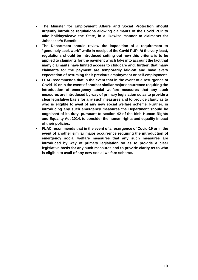- **The Minister for Employment Affairs and Social Protection should urgently introduce regulations allowing claimants of the Covid PUP to take holidays/leave the State, in a likewise manner to claimants for Jobseeker's Benefit.**
- **The Department should review the imposition of a requirement to "genuinely seek work" while in receipt of the Covid PUP. At the very least, regulations should be introduced setting out how this criteria is to be applied to claimants for the payment which take into account the fact that many claimants have limited access to childcare and, further, that many claimants for the payment are temporarily laid-off and have every expectation of resuming their previous employment or self-employment.**
- **FLAC recommends that in the event that in the event of a resurgence of Covid-19 or in the event of another similar major occurrence requiring the introduction of emergency social welfare measures that any such measures are introduced by way of primary legislation so as to provide a clear legislative basis for any such measures and to provide clarity as to who is eligible to avail of any new social welfare scheme. Further, in introducing any such emergency measures the Department should be cognisant of its duty, pursuant to section 42 of the Irish Human Rights and Equality Act 2014, to consider the human rights and equality impact of their policies.**
- **FLAC recommends that in the event of a resurgence of Covid-19 or in the event of another similar major occurrence requiring the introduction of emergency social welfare measures that any such measures are introduced by way of primary legislation so as to provide a clear legislative basis for any such measures and to provide clarity as to who is eligible to avail of any new social welfare scheme.**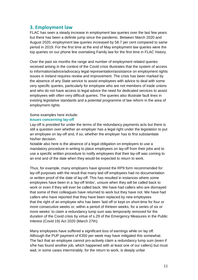### **3. Employment law**

FLAC has seen a steady increase in employment law queries over the last few years but there has been a definite jump since the pandemic. Between March 2020 and August 2020, employment law queries increased by 58.7 per cent compared to same period in 2019. For the first time at the end of May employment law queries were the top queries on our phone line overtaking Family law for the first time in FLAC history.

Over the past six months the range and number of employment related queries received arising in the context of the Covid crisis illustrates that the system of access to information/advice/advocacy legal representation/assistance on employment rights issues in Ireland requires review and improvement. The crisis has been marked by the absence of any State service to assist employees with advice to deal with some very specific queries, particularly for employee who are not members of trade unions and who do not have access to legal advice the need for dedicated services to assist employees with often very difficult queries. The queries also illustrate fault lines in existing legislative standards and a potential programme of law reform in the area of employment rights

#### Some examples here include:

#### **Issues concerning lay-off**

Lay-off is provided for under the terms of the redundancy payments acts but there is still a question over whether an employer has a legal right under the legislation to put an employee on lay-off and, if so, whether the employer has to first substantiate his/her decision.

Notable also here is the absence of a legal obligation on employers to use a mandatory procedure in writing to place employees on lay-off from their jobs and to use a specific written procedure to notify employees that their lay-off was coming to an end and of the date when they would be expected to return to work.

Thus, for example, many employers have ignored the RP9 form recommended for lay-off purposes with the result that many laid off employees had no documentation or written proof of the date of lay-off. This has resulted in instances where some employees have been in a 'lay-off limbo', unsure when they will be called back to work or even if they will ever be called back. We have had callers who are dismayed that some of their colleagues have returned to work but they have not. We have had callers who have reported that they have been replaced by new employees that the right of an employee who has been 'laid off or kept on short-time for four or more consecutive weeks or, within a period of thirteen weeks, for a series of six or more weeks' to claim a redundancy lump sum was temporarily removed for the duration of the Covid crisis by virtue of s.29 of the Emergency Measures in the Public Interest (Covid 19) Act 2020 (March 27th).

Many employees have suffered a significant loss of earnings while on lay off. Although the PUP payment of  $\epsilon$ 350 per week may have mitigated this somewhat. The fact that an employee cannot pro-actively claim a redundancy lump sum (even if s/he has found another job, which happened with at least one of our callers) but must wait, in some cases interminably, for the return to work, is deeply unfair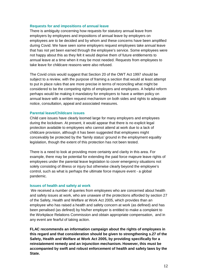#### **Requests for and impositions of annual leave**

There is ambiguity concerning how requests for statutory annual leave from employers by employees and impositions of annual leave by employers on employees are to be decided and by whom and these concerns have been amplified during Covid. We have seen some employers request employees take annual leave that has not yet been earned through the employee's service. Some employees were not happy about this as they felt it would deprive them of future entitlements to annual leave at a time when it may be most needed. Requests from employees to take leave for childcare reasons were also refused.

The Covid crisis would suggest that Section 20 of the OWT Act 1997 should be subject to a review, with the purpose of framing a section that would at least attempt to put in place rules that are more precise in terms of reconciling what might be considered to be the competing rights of employers and employees. A helpful reform perhaps would be making it mandatory for employers to have a written policy on annual leave with a written request mechanism on both sides and rights to adequate notice, consultation, appeal and associated measures.

#### **Parental leave/Childcare issues**

Child care issues have clearly loomed large for many employers and employees during the lockdown. At present, it would appear that there is no explicit legal protection available to employees who cannot attend at work due to a lack of childcare provision, although it has been suggested that employees might conceivably be protected by the 'family status' ground in the employment equality legislation, though the extent of this protection has not been tested.

There is a need to look at providing more certainty and clarity in this area. For example, there may be potential for extending the paid force majeure leave rights of employees under the parental leave legislation to cover emergency situations not solely consisting of illness or injury but otherwise clearly beyond the employee's control, such as what is perhaps the ultimate force majeure event - a global pandemic.

#### **Issues of health and safety at work**

We received a number of queries from employees who are concerned about health and safety issues at work, who are unaware of the protections afforded by section 27 of the Safety, Health and Welfare at Work Act 2005, which provides than an employee who has raised a health and safety concern at work (as defined) and has been penalised (as defined) by his/her employer is entitled to make a complaint to the Workplace Relations Commission and obtain appropriate compensation, and in any event are fearful of taking action.

**FLAC recommends an information campaign about the rights of employees in this regard and that consideration should be given to strengthening s.27 of the Safety, Health and Welfare at Work Act 2005, by providing specifically for a reinstatement remedy and an injunction mechanism. However, this must be accompanied by swift and robust enforcement of health and safety laws by the State.**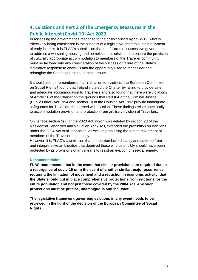## **4. Evictions and Part 2 of the Emergency Measures in the Public Interest (Covid-19) Act 2020**

In assessing the government's response to the crisis caused by covid-19, what is effectively being considered is the success of a legislative effort to sustain a system already in crisis. It is FLAC's submission that the failures of successive governments to address a worsening housing and homelessness crisis and to ensure the provision of culturally appropriate accommodation to members of the Traveller community must be factored into any consideration of the success or failure of the State's legislative response to covid-19 and the opportunity used to reconsider and reimagine the State's approach to these issues.

It should also be remembered that in relation to evictions, the European Committee on Social Rights4 found that Ireland violated the Charter by failing to provide safe and adequate accommodation to Travellers and also found that there were violations of Article 16 of the Charter on the grounds that Part II A of the Criminal Justice (Public Order) Act 1994 and section 10 of the Housing Act 1992 provide inadequate safeguards for Travellers threatened with eviction. These findings relate specifically to accommodation provision and protection from arbitrary eviction of Travellers.

On its face section 5(7) of the 2020 Act, which was deleted by section 23 of the Residential Tenancies and Valuation Act 2020, extended the prohibition on evictions under the 2004 Act to all tenancies, as well as prohibiting the forced movement of members of the Traveller community.

However, it is FLAC's submission that the section lacked clarity and suffered from and interpretative ambiguities that deprived those who ostensibly should have been protected by its provisions of any means to resist an eviction or seek a remedy.

#### **Recommendation**

**FLAC recommends that in the event that similar provisions are required due to a resurgence of covid-19 or in the event of another similar, major occurrence requiring the limitation of movement and a reduction in economic activity, that the State should put in place comprehensive protections from evictions for the entire population and not just those covered by the 2004 Act. Any such protections must be precise, unambiguous and inclusive.** 

**The legislative framework governing evictions in any event needs to be reviewed in the light of the decision of the European Committee of Social Rights**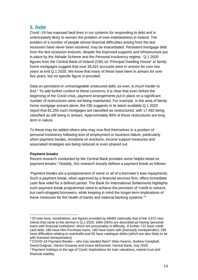## **5. Debt**

Covid -19 has exposed fault lines in our systems for responding to debt and is unfortunately likely to worsen the problem of over-indebtedness in Ireland. The position of a number of people whose financial difficulties arising from the last recession have never been resolved, may be exacerbated. Persistent mortgage debt from the last recession endures, despite the improved supports and infrastructure put in place by the Abhaile Scheme and the Personal Insolvency regime. Q.1 2020 figures from the Central Bank of Ireland (CBI) on 'Principal Dwelling House' or family home mortgages suggest that over 26,421 accounts were in arrears for over two years at end Q.1 2020. We know that many of these have been in arrears for over five years, but no specific figure is provided.

Data on persistent or unmanageable unsecured debt, as ever, is much harder to find.<sup>[1](#page-13-0)</sup> To add further context to these concerns, it is clear that even before the beginning of the Covid crisis, payment arrangements put in place on a significant number of restructures were not being maintained. For example, in the area of family home mortgage arrears alone, the CBI suggests in its latest available Q.1 2020 report that 81,255 such mortgages are classified as restructured, with 17,492 being classified as still being in arrears. Approximately 90% of these restructures are long term in nature.

To these may be added others who may now find themselves in a position of personal insolvency following loss of employment or business failure, particularly when payment breaks, moratoria on evictions, income support measures and associated strategies are being reduced or even phased out.

#### **Payment breaks**

Recent research conducted by the Central Bank provides some helpful detail on payment breaks.[2](#page-13-1) Notably, this research loosely defines a payment break as follows:

'Payment breaks are a postponement of some or all of a borrower's loan repayments. Such a payment break, when approved by a financial services firm, offers immediate cash flow relief for a defined period. The Bank for International Settlements highlights such payment break programmes need to achieve the provision of "credit to solvent, but cash-strapped borrowers, while keeping in mind the longer-term implications of these measures for the health of banks and national banking systems."[3](#page-13-2)

<span id="page-13-0"></span><sup>1</sup> Of note here, nonetheless, are figures provided by MABS nationally that of the 4,672 new clients that came to the service in Q.1 2020, 1684 (36%) are described as having 'personal loans with financial institutions' which are presumably in difficulty. A further 712 have credit card debt; 186 have Hire Purchase loans; 185 have loans with (licensed) moneylenders; 199 have difficulties relating to overdrafts and 65 have catalogue debts (which are also likely to be with licensed moneylenders)

<span id="page-13-1"></span>**<sup>2</sup>** COVID-19 Payment Breaks – who has needed them? Allan Kearns, Andrew Campbell, David Duignan, Darren Greaney and Grace McDonnell, Central Bank, July 2020.

<span id="page-13-2"></span><sup>3</sup> Payment holidays in the age of Covid: Implications for loan valuations, market trust and financial stability.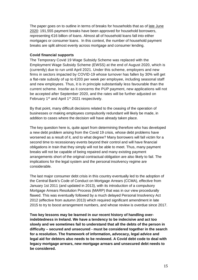The paper goes on to outline in terms of breaks for households that as of late June 2020: 191,555 payment breaks have been approved for household borrowers, representing €16 billion of loans. Almost all of household loans fall into either mortgages or consumer loans. In this context, the number of household payment breaks are split almost evenly across mortgage and consumer lending.

#### **Covid financial supports**

The Temporary Covid 19 Wage Subsidy Scheme was replaced with the Employment Wage Subsidy Scheme (EWSS) at the end of August 2020, which is (currently) due to run until April 2021. Under this scheme, employers and new firms in sectors impacted by COVID-19 whose turnover has fallen by 30% will get a flat-rate subsidy of up to €203 per week per employee, including seasonal staff and new employees. Thus, it is in principle substantially less favourable than the current scheme. Insofar as it concerns the PUP payment, new applications will not be accepted after September 2020, and the rates will be further adjusted on February 1<sup>st</sup> and April 1<sup>st</sup> 2021 respectively.

By that point, many difficult decisions related to the ceasing of the operation of businesses or making employees compulsorily redundant will likely be made, in addition to cases where the decision will have already taken place.

The key question here is, quite apart from determining therefore who has developed a new debt problem arising from the Covid 19 crisis, whose debt problems have worsened as a result of it, and to what degree? Many borrowers will fall victim for a second time to recessionary events beyond their control and will have financial obligations in train that they simply will not be able to meet. Thus, many payment breaks will not be capable of being repaired and many existing payment arrangements short of the original contractual obligation are also likely to fail. The implications for the legal system and the personal insolvency regime are considerable.

The last major consumer debt crisis in this country eventually led to the adoption of the Central Bank's Code of Conduct on Mortgage Arrears (CCMA), effective from January 1st 2011 (and updated in 2013), with its introduction of a compulsory Mortgage Arrears Resolution Process (MARP) that was in our view procedurally flawed. This was eventually followed by a much delayed Personal Insolvency Act 2012 (effective from autumn 2013) which required significant amendment in late 2015 to try to boost arrangement numbers, and whose review is overdue since 2017.

**Two key lessons may be learned in our recent history of handling overindebtedness in Ireland. We have a tendency to be indecisive and act too slowly and we sometimes fail to understand that all the debts of the person in difficulty – secured and unsecured - must be considered together in the search for a resolution. The framework of information, advocacy, legal advice and legal aid for debtors also needs to be reviewed. A Covid debt code to deal with legacy mortgage arrears, new mortgage arrears and unsecured debt needs to be considered.**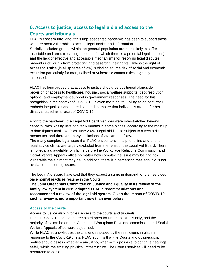## **6. Access to justice, access to legal aid and access to the Courts and tribunals**

FLAC's concern throughout this unprecedented pandemic has been to support those who are most vulnerable to access legal advice and information.

Socially excluded groups within the general population are more likely to suffer justiciable problems (meaning problems for which there is a potential legal solution) and the lack of effective and accessible mechanisms for resolving legal disputes prevents individuals from protecting and asserting their rights. Unless the right of access to justice (in all spheres of law) is vindicated, the risk of social and economic exclusion particularly for marginalised or vulnerable communities is greatly increased.

FLAC has long argued that access to justice should be positioned alongside provision of access to healthcare, housing, social welfare supports, debt resolution options, and employment support in government responses. The need for this recognition in the context of COVID-19 is even more acute. Failing to do so further embeds inequalities and there is a need to ensure that individuals are not further disadvantaged as a result of COVID-19.

Prior to the pandemic, the Legal Aid Board Services were overstretched beyond capacity, with waiting lists of over 6 months in some places, according to the most up to date figures available from June 2020. Legal aid is also subject to a very strict means test and there are many exclusions of vital areas of law. The many complex legal issue that FLAC encounters in its phone line and phone legal advice clinics are largely excluded from the remit of the Legal Aid Board. There is no legal aid available for claims before the Workplace Relations Commission and Social welfare Appeals office no matter how complex the issue may be and how vulnerable the claimant may be. In addition, there is a perception that legal aid is not available for housing issues.

The Legal Aid Board have said that they expect a surge in demand for their services once normal practices resume in the Courts.

**The Joint Oireachtas Committee on Justice and Equality in its review of the family law system in 2019 adopted FLAC's recommendations and recommended a review of the legal aid system. Given the impact of COVID-19 such a review is more important now than ever before.**

#### **Access to the courts**

Access to justice also involves access to the courts and tribunals. During COVID-19 the Courts remained open for urgent business only, and the majority of claims before the Courts and Workplace Relations commission and Social Welfare Appeals office were adjourned.

While FLAC acknowledges the challenges posed by the restrictions in place in response to the Covid-19 crisis, FLAC submits that the Courts and quasi-judicial bodies should assess whether – and, if so, when – it is possible to continue hearings safely within the existing physical infrastructure. The Courts services will need to be resourced to do so.